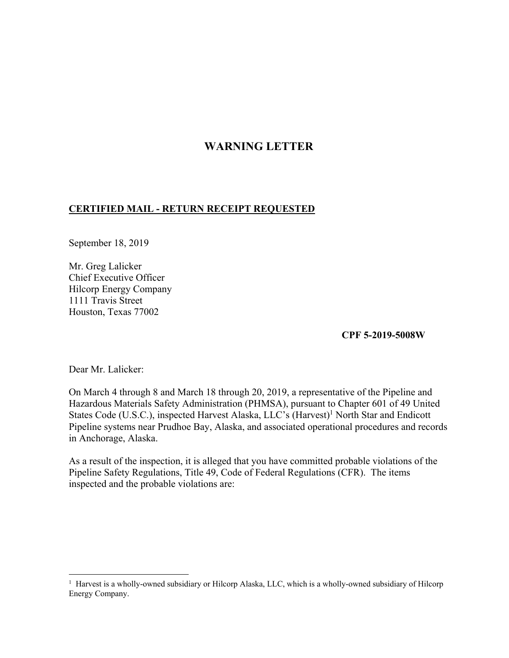# **WARNING LETTER**

# **CERTIFIED MAIL - RETURN RECEIPT REQUESTED**

September 18, 2019

Mr. Greg Lalicker Chief Executive Officer Hilcorp Energy Company 1111 Travis Street Houston, Texas 77002

**CPF 5-2019-5008W** 

Dear Mr. Lalicker:

 $\overline{a}$ 

On March 4 through 8 and March 18 through 20, 2019, a representative of the Pipeline and Hazardous Materials Safety Administration (PHMSA), pursuant to Chapter 601 of 49 United States Code (U.S.C.), inspected Harvest Alaska, LLC's (Harvest)<sup>1</sup> North Star and Endicott Pipeline systems near Prudhoe Bay, Alaska, and associated operational procedures and records in Anchorage, Alaska.

As a result of the inspection, it is alleged that you have committed probable violations of the Pipeline Safety Regulations, Title 49, Code of Federal Regulations (CFR). The items inspected and the probable violations are:

<sup>&</sup>lt;sup>1</sup> Harvest is a wholly-owned subsidiary or Hilcorp Alaska, LLC, which is a wholly-owned subsidiary of Hilcorp Energy Company.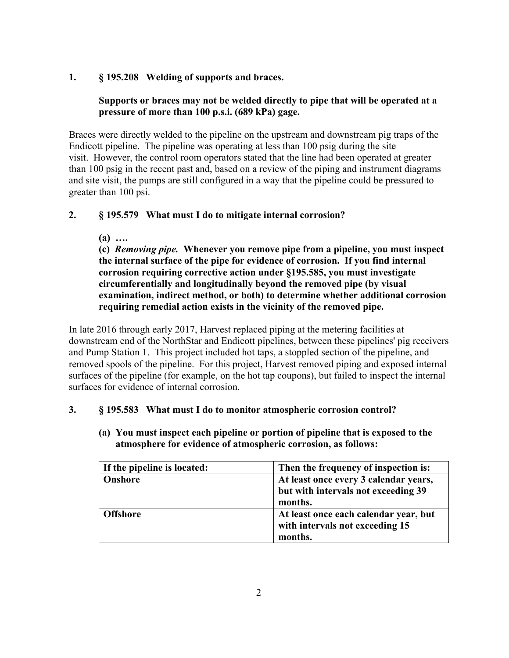### **1. § 195.208 Welding of supports and braces.**

# **Supports or braces may not be welded directly to pipe that will be operated at a pressure of more than 100 p.s.i. (689 kPa) gage.**

Braces were directly welded to the pipeline on the upstream and downstream pig traps of the Endicott pipeline. The pipeline was operating at less than 100 psig during the site visit. However, the control room operators stated that the line had been operated at greater than 100 psig in the recent past and, based on a review of the piping and instrument diagrams and site visit, the pumps are still configured in a way that the pipeline could be pressured to greater than 100 psi.

# **2. § 195.579 What must I do to mitigate internal corrosion?**

**(a) ….** 

 **(c)** *Removing pipe.* **Whenever you remove pipe from a pipeline, you must inspect the internal surface of the pipe for evidence of corrosion. If you find internal corrosion requiring corrective action under §195.585, you must investigate circumferentially and longitudinally beyond the removed pipe (by visual examination, indirect method, or both) to determine whether additional corrosion requiring remedial action exists in the vicinity of the removed pipe.** 

In late 2016 through early 2017, Harvest replaced piping at the metering facilities at downstream end of the NorthStar and Endicott pipelines, between these pipelines' pig receivers and Pump Station 1. This project included hot taps, a stoppled section of the pipeline, and removed spools of the pipeline. For this project, Harvest removed piping and exposed internal surfaces of the pipeline (for example, on the hot tap coupons), but failed to inspect the internal surfaces for evidence of internal corrosion.

#### **3. § 195.583 What must I do to monitor atmospheric corrosion control?**

**(a) You must inspect each pipeline or portion of pipeline that is exposed to the atmosphere for evidence of atmospheric corrosion, as follows:**

| If the pipeline is located: | Then the frequency of inspection is:  |
|-----------------------------|---------------------------------------|
| Onshore                     | At least once every 3 calendar years, |
|                             | but with intervals not exceeding 39   |
|                             | months.                               |
| <b>Offshore</b>             | At least once each calendar year, but |
|                             | with intervals not exceeding 15       |
|                             | months.                               |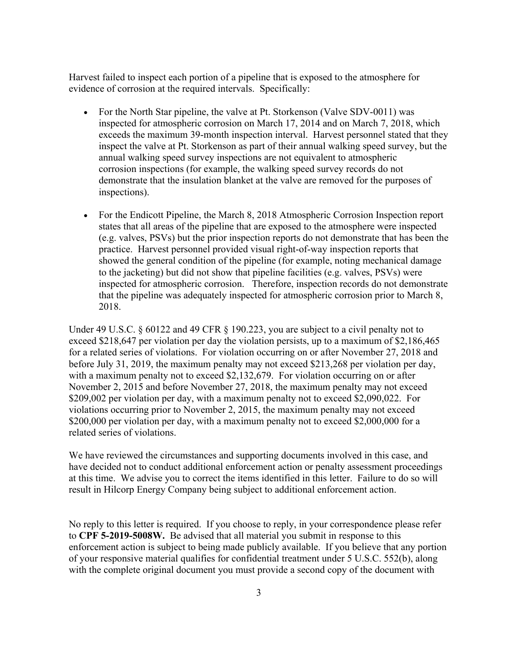Harvest failed to inspect each portion of a pipeline that is exposed to the atmosphere for evidence of corrosion at the required intervals. Specifically:

- For the North Star pipeline, the valve at Pt. Storkenson (Valve SDV-0011) was inspected for atmospheric corrosion on March 17, 2014 and on March 7, 2018, which exceeds the maximum 39-month inspection interval. Harvest personnel stated that they inspect the valve at Pt. Storkenson as part of their annual walking speed survey, but the annual walking speed survey inspections are not equivalent to atmospheric corrosion inspections (for example, the walking speed survey records do not demonstrate that the insulation blanket at the valve are removed for the purposes of inspections).
- For the Endicott Pipeline, the March 8, 2018 Atmospheric Corrosion Inspection report states that all areas of the pipeline that are exposed to the atmosphere were inspected (e.g. valves, PSVs) but the prior inspection reports do not demonstrate that has been the practice. Harvest personnel provided visual right-of-way inspection reports that showed the general condition of the pipeline (for example, noting mechanical damage to the jacketing) but did not show that pipeline facilities (e.g. valves, PSVs) were inspected for atmospheric corrosion. Therefore, inspection records do not demonstrate that the pipeline was adequately inspected for atmospheric corrosion prior to March 8, 2018.

Under 49 U.S.C. § 60122 and 49 CFR § 190.223, you are subject to a civil penalty not to exceed \$218,647 per violation per day the violation persists, up to a maximum of \$2,186,465 for a related series of violations. For violation occurring on or after November 27, 2018 and before July 31, 2019, the maximum penalty may not exceed \$213,268 per violation per day, with a maximum penalty not to exceed \$2,132,679. For violation occurring on or after November 2, 2015 and before November 27, 2018, the maximum penalty may not exceed \$209,002 per violation per day, with a maximum penalty not to exceed \$2,090,022. For violations occurring prior to November 2, 2015, the maximum penalty may not exceed \$200,000 per violation per day, with a maximum penalty not to exceed \$2,000,000 for a related series of violations.

We have reviewed the circumstances and supporting documents involved in this case, and have decided not to conduct additional enforcement action or penalty assessment proceedings at this time. We advise you to correct the items identified in this letter. Failure to do so will result in Hilcorp Energy Company being subject to additional enforcement action.

No reply to this letter is required. If you choose to reply, in your correspondence please refer to **CPF 5-2019-5008W.** Be advised that all material you submit in response to this enforcement action is subject to being made publicly available. If you believe that any portion of your responsive material qualifies for confidential treatment under 5 U.S.C. 552(b), along with the complete original document you must provide a second copy of the document with